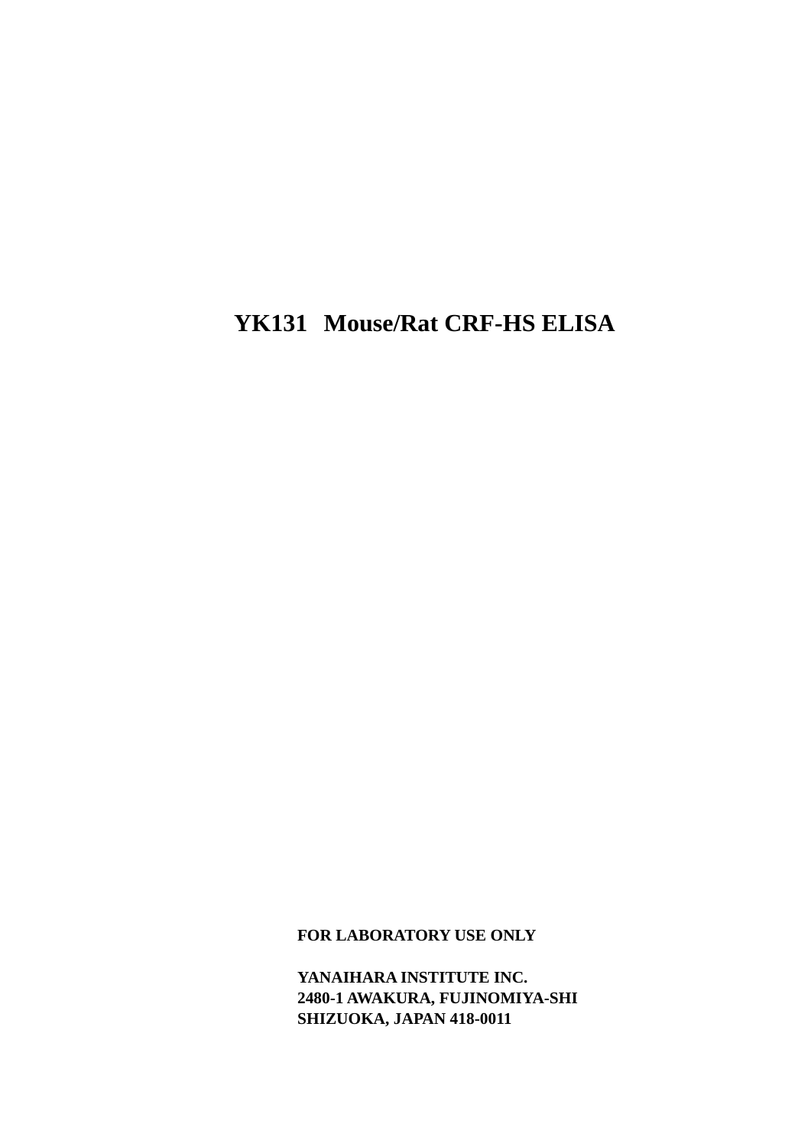# **YK131 Mouse/Rat CRF-HS ELISA**

**FOR LABORATORY USE ONLY**

**YANAIHARA INSTITUTE INC. 2480-1 AWAKURA, FUJINOMIYA-SHI SHIZUOKA, JAPAN 418-0011**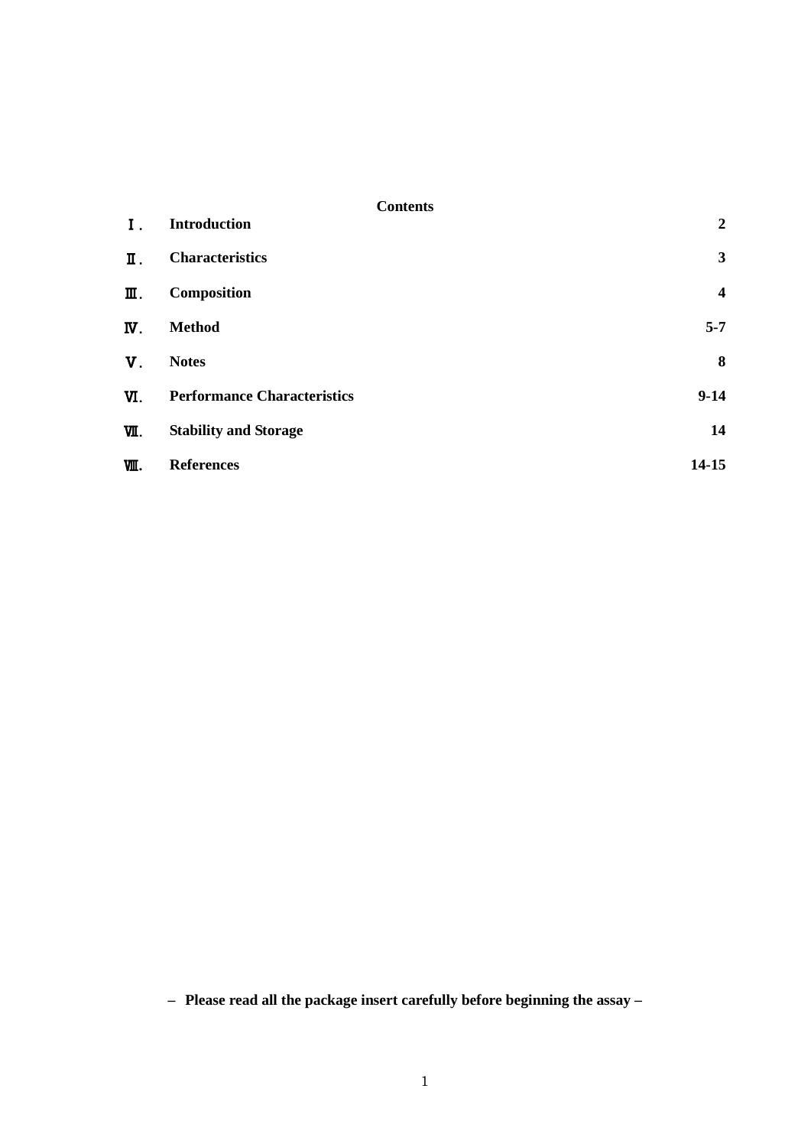| Ι.          | <b>Introduction</b>                | $\boldsymbol{2}$        |
|-------------|------------------------------------|-------------------------|
| Π.          | <b>Characteristics</b>             | $\mathbf{3}$            |
| Ⅲ.          | Composition                        | $\overline{\mathbf{4}}$ |
| Ν.          | <b>Method</b>                      | $5 - 7$                 |
| $V_{\perp}$ | <b>Notes</b>                       | 8                       |
| VI.         | <b>Performance Characteristics</b> | $9-14$                  |
| νΙ.         | <b>Stability and Storage</b>       | 14                      |
| 哑.          | <b>References</b>                  | $14 - 15$               |

**– Please read all the package insert carefully before beginning the assay –**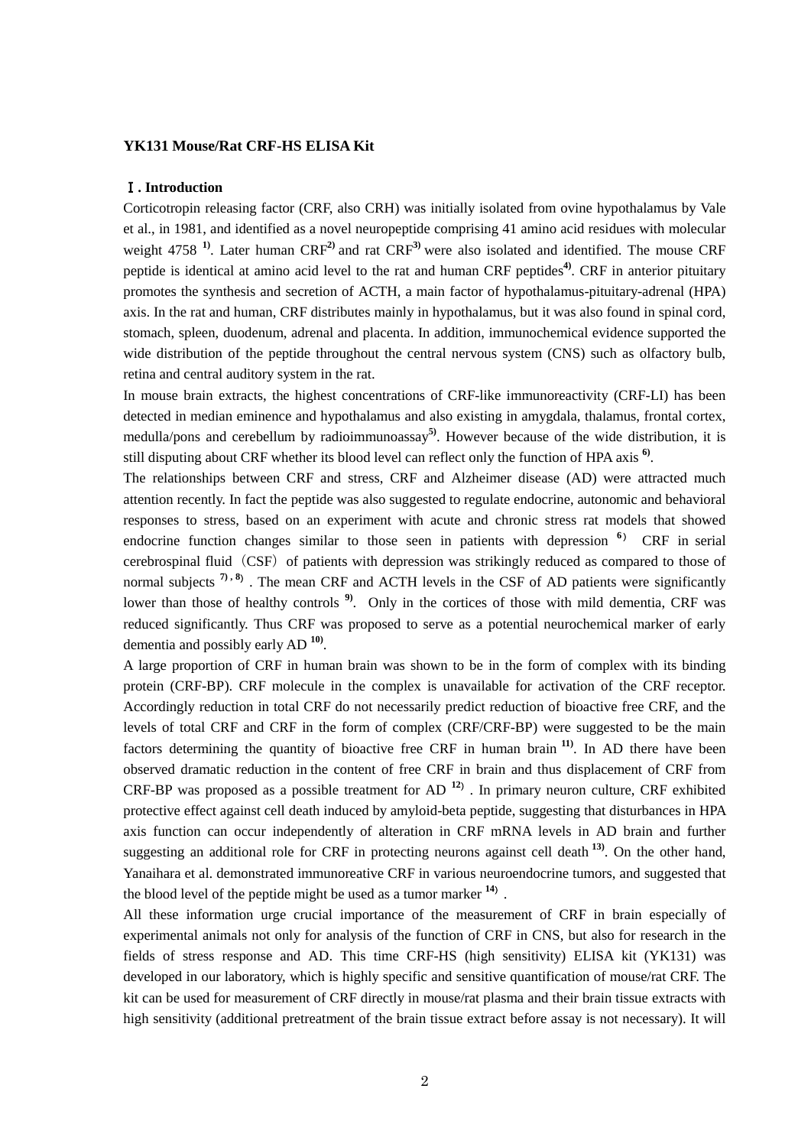### **YK131 Mouse/Rat CRF-HS ELISA Kit**

#### Ⅰ**. Introduction**

Corticotropin releasing factor (CRF, also CRH) was initially isolated from ovine hypothalamus by Vale et al., in 1981, and identified as a novel neuropeptide comprising 41 amino acid residues with molecular weight 4758 **1)**. Later human CRF**2)** and rat CRF**3)** were also isolated and identified. The mouse CRF peptide is identical at amino acid level to the rat and human CRF peptides**4)**. CRF in anterior pituitary promotes the synthesis and secretion of ACTH, a main factor of hypothalamus-pituitary-adrenal (HPA) axis. In the rat and human, CRF distributes mainly in hypothalamus, but it was also found in spinal cord, stomach, spleen, duodenum, adrenal and placenta. In addition, immunochemical evidence supported the wide distribution of the peptide throughout the central nervous system (CNS) such as olfactory bulb, retina and central auditory system in the rat.

In mouse brain extracts, the highest concentrations of CRF-like immunoreactivity (CRF-LI) has been detected in median eminence and hypothalamus and also existing in amygdala, thalamus, frontal cortex, medulla/pons and cerebellum by radioimmunoassay**5)**. However because of the wide distribution, it is still disputing about CRF whether its blood level can reflect only the function of HPA axis **6)**.

The relationships between CRF and stress, CRF and Alzheimer disease (AD) were attracted much attention recently. In fact the peptide was also suggested to regulate endocrine, autonomic and behavioral responses to stress, based on an experiment with acute and chronic stress rat models that showed endocrine function changes similar to those seen in patients with depression **<sup>6</sup>**) CRF in serial cerebrospinal fluid (CSF) of patients with depression was strikingly reduced as compared to those of normal subjects  $7, 8$ ). The mean CRF and ACTH levels in the CSF of AD patients were significantly lower than those of healthy controls <sup>9</sup>. Only in the cortices of those with mild dementia, CRF was reduced significantly. Thus CRF was proposed to serve as a potential neurochemical marker of early dementia and possibly early AD **10)** .

A large proportion of CRF in human brain was shown to be in the form of complex with its binding protein (CRF-BP). CRF molecule in the complex is unavailable for activation of the CRF receptor. Accordingly reduction in total CRF do not necessarily predict reduction of bioactive free CRF, and the levels of total CRF and CRF in the form of complex (CRF/CRF-BP) were suggested to be the main factors determining the quantity of bioactive free CRF in human brain **11)**. In AD there have been observed dramatic reduction in the content of free CRF in brain and thus displacement of CRF from CRF-BP was proposed as a possible treatment for AD **<sup>12</sup>**). In primary neuron culture, CRF exhibited protective effect against cell death induced by amyloid-beta peptide, suggesting that disturbances in HPA axis function can occur independently of alteration in CRF mRNA levels in AD brain and further suggesting an additional role for CRF in protecting neurons against cell death **13)**. On the other hand, Yanaihara et al. demonstrated immunoreative CRF in various neuroendocrine tumors, and suggested that the blood level of the peptide might be used as a tumor marker **<sup>14</sup>**).

All these information urge crucial importance of the measurement of CRF in brain especially of experimental animals not only for analysis of the function of CRF in CNS, but also for research in the fields of stress response and AD. This time CRF-HS (high sensitivity) ELISA kit (YK131) was developed in our laboratory, which is highly specific and sensitive quantification of mouse/rat CRF. The kit can be used for measurement of CRF directly in mouse/rat plasma and their brain tissue extracts with high sensitivity (additional pretreatment of the brain tissue extract before assay is not necessary). It will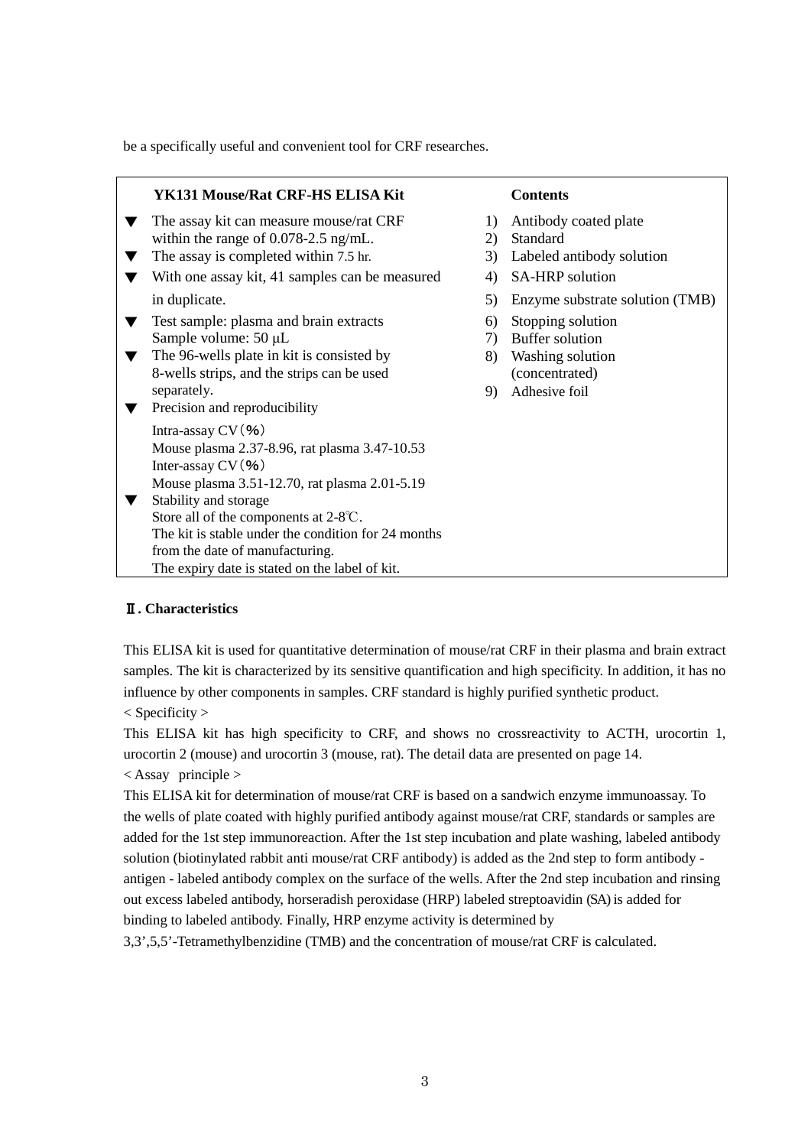be a specifically useful and convenient tool for CRF researches.

| YK131 Mouse/Rat CRF-HS ELISA Kit                                                                                                                                                                                                                                                                                                                                |                                              | <b>Contents</b>                                                                                                                                                                                                  |
|-----------------------------------------------------------------------------------------------------------------------------------------------------------------------------------------------------------------------------------------------------------------------------------------------------------------------------------------------------------------|----------------------------------------------|------------------------------------------------------------------------------------------------------------------------------------------------------------------------------------------------------------------|
| The assay kit can measure mouse/rat CRF<br>within the range of $0.078-2.5$ ng/mL.<br>The assay is completed within 7.5 hr.<br>With one assay kit, 41 samples can be measured<br>in duplicate.<br>Test sample: plasma and brain extracts<br>Sample volume: $50 \mu L$<br>The 96-wells plate in kit is consisted by<br>8-wells strips, and the strips can be used | 1)<br>2)<br>3)<br>4)<br>5)<br>6)<br>7)<br>8) | Antibody coated plate<br>Standard<br>Labeled antibody solution<br><b>SA-HRP</b> solution<br>Enzyme substrate solution (TMB)<br>Stopping solution<br><b>Buffer solution</b><br>Washing solution<br>(concentrated) |
| separately.<br>Precision and reproducibility                                                                                                                                                                                                                                                                                                                    | 9)                                           | Adhesive foil                                                                                                                                                                                                    |
| Intra-assay $CV($ %)<br>Mouse plasma 2.37-8.96, rat plasma 3.47-10.53<br>Inter-assay $CV($ %)<br>Mouse plasma 3.51-12.70, rat plasma 2.01-5.19<br>Stability and storage<br>Store all of the components at 2-8°C.<br>The kit is stable under the condition for 24 months<br>from the date of manufacturing.<br>The expiry date is stated on the label of kit.    |                                              |                                                                                                                                                                                                                  |

# Ⅱ**. Characteristics**

This ELISA kit is used for quantitative determination of mouse/rat CRF in their plasma and brain extract samples. The kit is characterized by its sensitive quantification and high specificity. In addition, it has no influence by other components in samples. CRF standard is highly purified synthetic product.

< Specificity >

This ELISA kit has high specificity to CRF, and shows no crossreactivity to ACTH, urocortin 1, urocortin 2 (mouse) and urocortin 3 (mouse, rat). The detail data are presented on page 14.

< Assay principle >

This ELISA kit for determination of mouse/rat CRF is based on a sandwich enzyme immunoassay. To the wells of plate coated with highly purified antibody against mouse/rat CRF, standards or samples are added for the 1st step immunoreaction. After the 1st step incubation and plate washing, labeled antibody solution (biotinylated rabbit anti mouse/rat CRF antibody) is added as the 2nd step to form antibody antigen - labeled antibody complex on the surface of the wells. After the 2nd step incubation and rinsing out excess labeled antibody, horseradish peroxidase (HRP) labeled streptoavidin (SA) is added for binding to labeled antibody. Finally, HRP enzyme activity is determined by

3,3',5,5'-Tetramethylbenzidine (TMB) and the concentration of mouse/rat CRF is calculated.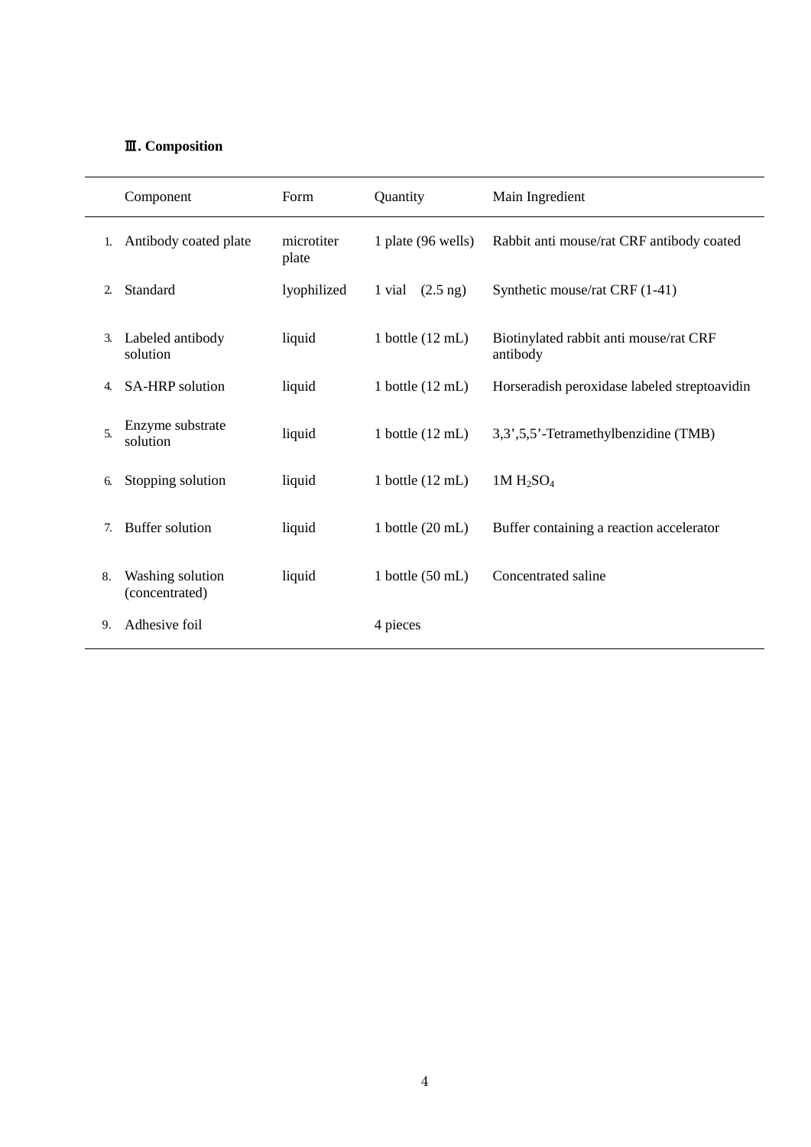# Ⅲ**. Composition**

|                  | Component                          | Form                | Quantity                     | Main Ingredient                                    |
|------------------|------------------------------------|---------------------|------------------------------|----------------------------------------------------|
| 1.               | Antibody coated plate              | microtiter<br>plate | 1 plate (96 wells)           | Rabbit anti mouse/rat CRF antibody coated          |
| 2.               | Standard                           | lyophilized         | $(2.5 \text{ ng})$<br>1 vial | Synthetic mouse/rat CRF (1-41)                     |
| 3.               | Labeled antibody<br>solution       | liquid              | 1 bottle $(12 \text{ mL})$   | Biotinylated rabbit anti mouse/rat CRF<br>antibody |
| 4.               | <b>SA-HRP</b> solution             | liquid              | 1 bottle $(12 \text{ mL})$   | Horseradish peroxidase labeled streptoavidin       |
| $\mathfrak{F}$ . | Enzyme substrate<br>solution       | liquid              | 1 bottle $(12 \text{ mL})$   | 3,3',5,5'-Tetramethylbenzidine (TMB)               |
| 6.               | Stopping solution                  | liquid              | 1 bottle $(12 \text{ mL})$   | $1M H_2SO_4$                                       |
| 7.               | <b>Buffer solution</b>             | liquid              | 1 bottle $(20 \text{ mL})$   | Buffer containing a reaction accelerator           |
| 8.               | Washing solution<br>(concentrated) | liquid              | 1 bottle $(50 \text{ mL})$   | Concentrated saline                                |
| 9.               | Adhesive foil                      |                     | 4 pieces                     |                                                    |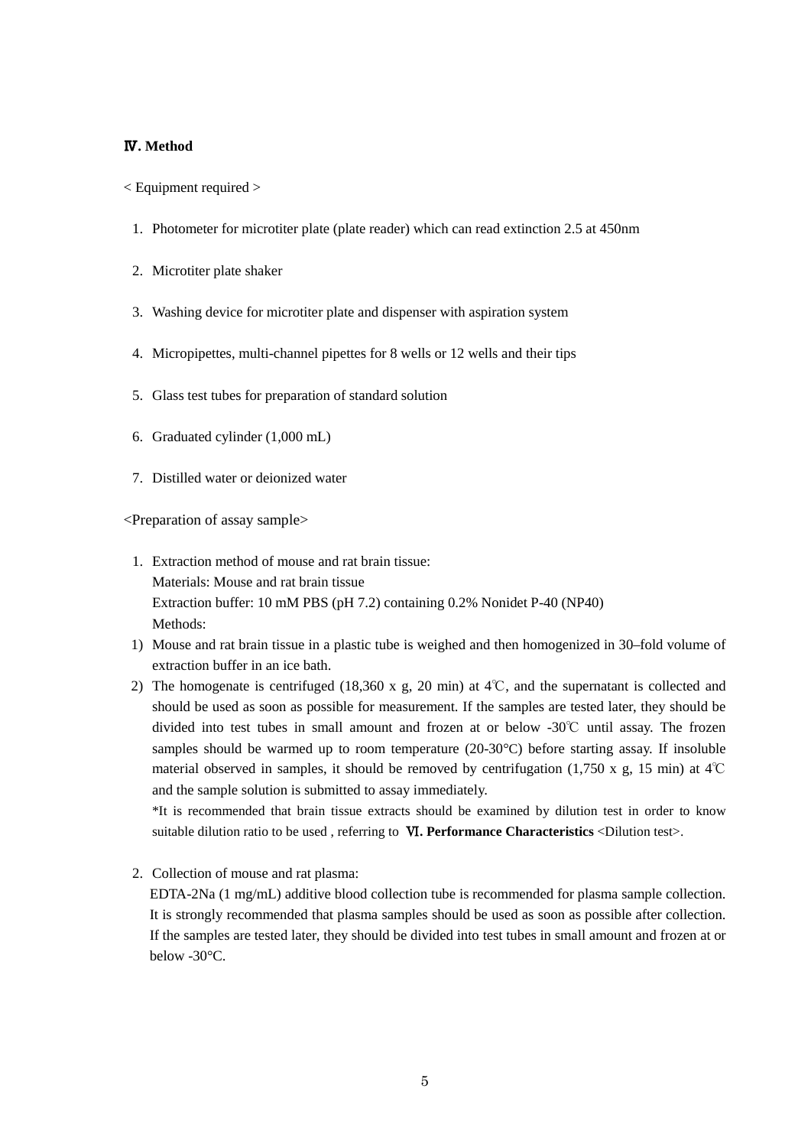## Ⅳ**. Method**

< Equipment required >

- 1. Photometer for microtiter plate (plate reader) which can read extinction 2.5 at 450nm
- 2. Microtiter plate shaker
- 3. Washing device for microtiter plate and dispenser with aspiration system
- 4. Micropipettes, multi-channel pipettes for 8 wells or 12 wells and their tips
- 5. Glass test tubes for preparation of standard solution
- 6. Graduated cylinder (1,000 mL)
- 7. Distilled water or deionized water

<Preparation of assay sample>

- 1. Extraction method of mouse and rat brain tissue: Materials: Mouse and rat brain tissue Extraction buffer: 10 mM PBS (pH 7.2) containing 0.2% Nonidet P-40 (NP40) Methods:
- 1) Mouse and rat brain tissue in a plastic tube is weighed and then homogenized in 30–fold volume of extraction buffer in an ice bath.
- 2) The homogenate is centrifuged (18,360 x g, 20 min) at 4℃, and the supernatant is collected and should be used as soon as possible for measurement. If the samples are tested later, they should be divided into test tubes in small amount and frozen at or below -30℃ until assay. The frozen samples should be warmed up to room temperature (20-30°C) before starting assay. If insoluble material observed in samples, it should be removed by centrifugation (1,750 x g, 15 min) at 4℃ and the sample solution is submitted to assay immediately.

\*It is recommended that brain tissue extracts should be examined by dilution test in order to know suitable dilution ratio to be used , referring to Ⅵ**. Performance Characteristics** <Dilution test>.

2. Collection of mouse and rat plasma:

EDTA-2Na (1 mg/mL) additive blood collection tube is recommended for plasma sample collection. It is strongly recommended that plasma samples should be used as soon as possible after collection. If the samples are tested later, they should be divided into test tubes in small amount and frozen at or below -30°C.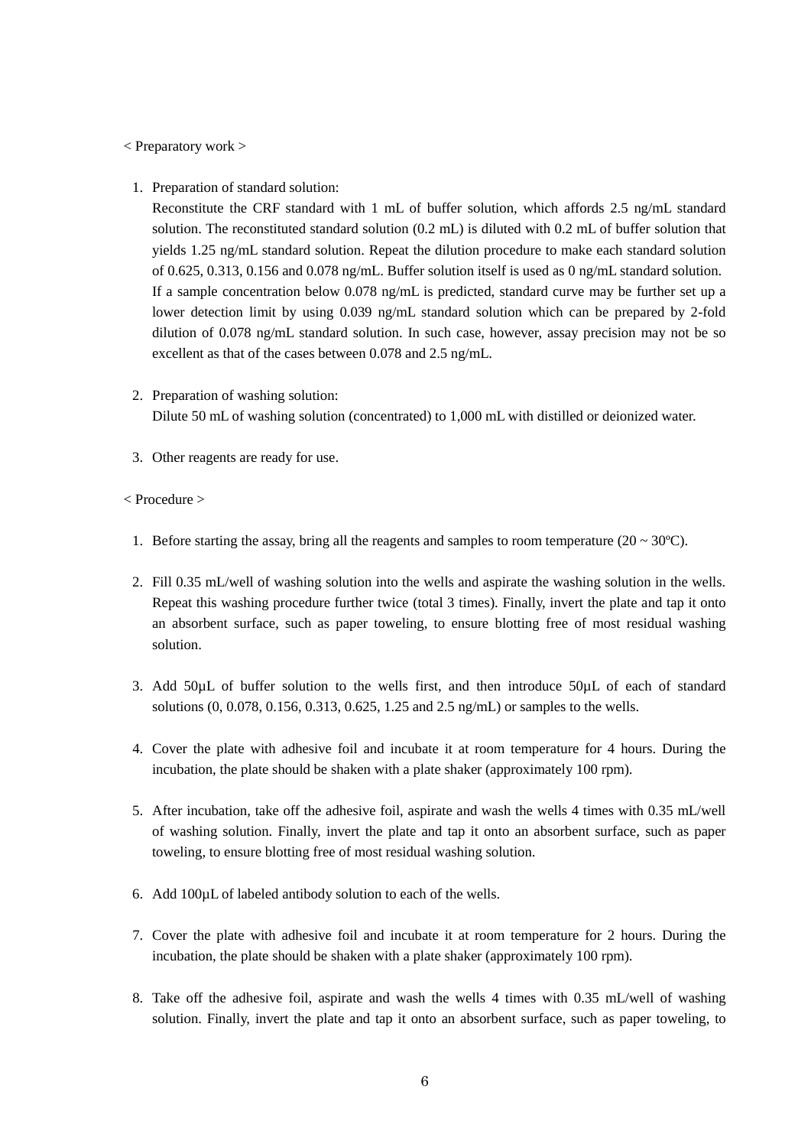#### < Preparatory work >

1. Preparation of standard solution:

Reconstitute the CRF standard with 1 mL of buffer solution, which affords 2.5 ng/mL standard solution. The reconstituted standard solution (0.2 mL) is diluted with 0.2 mL of buffer solution that yields 1.25 ng/mL standard solution. Repeat the dilution procedure to make each standard solution of 0.625, 0.313, 0.156 and 0.078 ng/mL. Buffer solution itself is used as 0 ng/mL standard solution. If a sample concentration below 0.078 ng/mL is predicted, standard curve may be further set up a lower detection limit by using 0.039 ng/mL standard solution which can be prepared by 2-fold dilution of 0.078 ng/mL standard solution. In such case, however, assay precision may not be so excellent as that of the cases between 0.078 and 2.5 ng/mL.

- 2. Preparation of washing solution: Dilute 50 mL of washing solution (concentrated) to 1,000 mL with distilled or deionized water.
- 3. Other reagents are ready for use.

### < Procedure >

- 1. Before starting the assay, bring all the reagents and samples to room temperature ( $20 \sim 30^{\circ}$ C).
- 2. Fill 0.35 mL/well of washing solution into the wells and aspirate the washing solution in the wells. Repeat this washing procedure further twice (total 3 times). Finally, invert the plate and tap it onto an absorbent surface, such as paper toweling, to ensure blotting free of most residual washing solution.
- 3. Add 50µL of buffer solution to the wells first, and then introduce 50µL of each of standard solutions (0, 0.078, 0.156, 0.313, 0.625, 1.25 and 2.5 ng/mL) or samples to the wells.
- 4. Cover the plate with adhesive foil and incubate it at room temperature for 4 hours. During the incubation, the plate should be shaken with a plate shaker (approximately 100 rpm).
- 5. After incubation, take off the adhesive foil, aspirate and wash the wells 4 times with 0.35 mL/well of washing solution. Finally, invert the plate and tap it onto an absorbent surface, such as paper toweling, to ensure blotting free of most residual washing solution.
- 6. Add 100µL of labeled antibody solution to each of the wells.
- 7. Cover the plate with adhesive foil and incubate it at room temperature for 2 hours. During the incubation, the plate should be shaken with a plate shaker (approximately 100 rpm).
- 8. Take off the adhesive foil, aspirate and wash the wells 4 times with 0.35 mL/well of washing solution. Finally, invert the plate and tap it onto an absorbent surface, such as paper toweling, to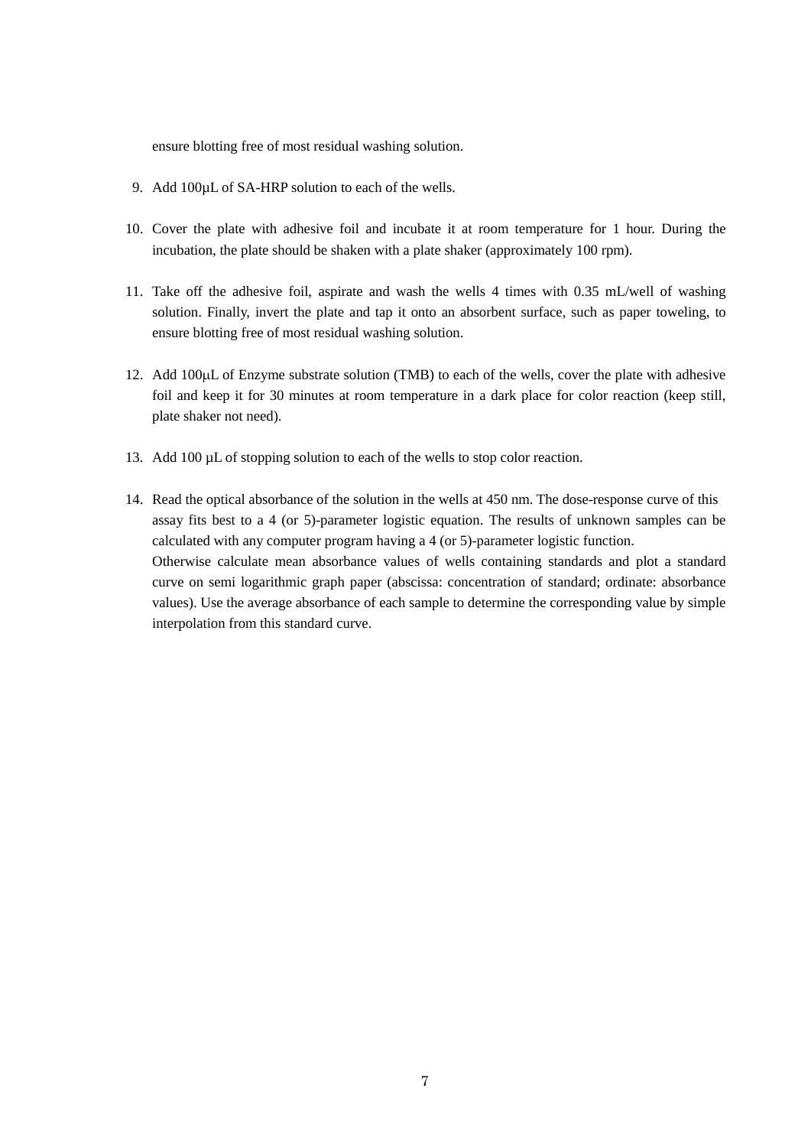ensure blotting free of most residual washing solution.

- 9. Add 100µL of SA-HRP solution to each of the wells.
- 10. Cover the plate with adhesive foil and incubate it at room temperature for 1 hour. During the incubation, the plate should be shaken with a plate shaker (approximately 100 rpm).
- 11. Take off the adhesive foil, aspirate and wash the wells 4 times with 0.35 mL/well of washing solution. Finally, invert the plate and tap it onto an absorbent surface, such as paper toweling, to ensure blotting free of most residual washing solution.
- 12. Add 100µL of Enzyme substrate solution (TMB) to each of the wells, cover the plate with adhesive foil and keep it for 30 minutes at room temperature in a dark place for color reaction (keep still, plate shaker not need).
- 13. Add 100 µL of stopping solution to each of the wells to stop color reaction.
- 14. Read the optical absorbance of the solution in the wells at 450 nm. The dose-response curve of this assay fits best to a 4 (or 5)-parameter logistic equation. The results of unknown samples can be calculated with any computer program having a 4 (or 5)-parameter logistic function. Otherwise calculate mean absorbance values of wells containing standards and plot a standard curve on semi logarithmic graph paper (abscissa: concentration of standard; ordinate: absorbance values). Use the average absorbance of each sample to determine the corresponding value by simple interpolation from this standard curve.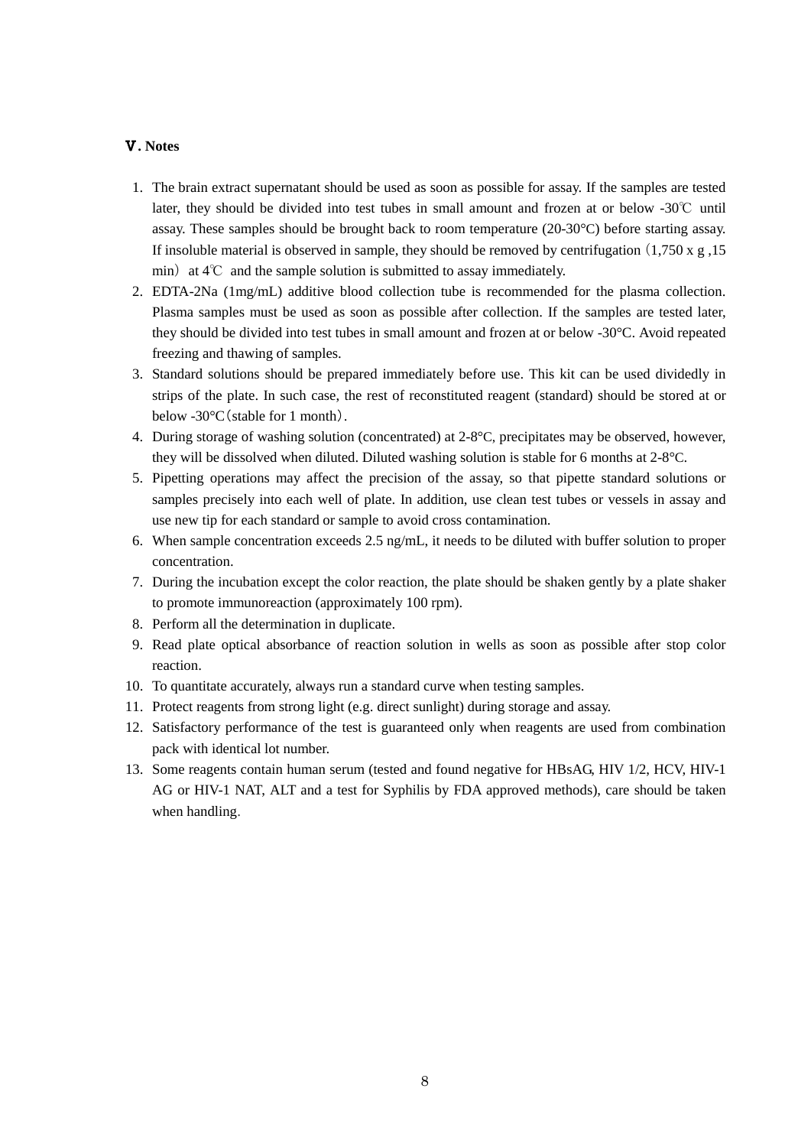## Ⅴ**. Notes**

- 1. The brain extract supernatant should be used as soon as possible for assay. If the samples are tested later, they should be divided into test tubes in small amount and frozen at or below -30℃ until assay. These samples should be brought back to room temperature (20-30°C) before starting assay. If insoluble material is observed in sample, they should be removed by centrifugation  $(1,750 \times g, 150)$ min) at  $4^{\circ}\text{C}$  and the sample solution is submitted to assay immediately.
- 2. EDTA-2Na (1mg/mL) additive blood collection tube is recommended for the plasma collection. Plasma samples must be used as soon as possible after collection. If the samples are tested later, they should be divided into test tubes in small amount and frozen at or below -30°C. Avoid repeated freezing and thawing of samples.
- 3. Standard solutions should be prepared immediately before use. This kit can be used dividedly in strips of the plate. In such case, the rest of reconstituted reagent (standard) should be stored at or below -30°C(stable for 1 month).
- 4. During storage of washing solution (concentrated) at 2-8°C, precipitates may be observed, however, they will be dissolved when diluted. Diluted washing solution is stable for 6 months at 2-8°C.
- 5. Pipetting operations may affect the precision of the assay, so that pipette standard solutions or samples precisely into each well of plate. In addition, use clean test tubes or vessels in assay and use new tip for each standard or sample to avoid cross contamination.
- 6. When sample concentration exceeds 2.5 ng/mL, it needs to be diluted with buffer solution to proper concentration.
- 7. During the incubation except the color reaction, the plate should be shaken gently by a plate shaker to promote immunoreaction (approximately 100 rpm).
- 8. Perform all the determination in duplicate.
- 9. Read plate optical absorbance of reaction solution in wells as soon as possible after stop color reaction.
- 10. To quantitate accurately, always run a standard curve when testing samples.
- 11. Protect reagents from strong light (e.g. direct sunlight) during storage and assay.
- 12. Satisfactory performance of the test is guaranteed only when reagents are used from combination pack with identical lot number.
- 13. Some reagents contain human serum (tested and found negative for HBsAG, HIV 1/2, HCV, HIV-1 AG or HIV-1 NAT, ALT and a test for Syphilis by FDA approved methods), [care](javascript:goWordLink(%22Care%22)) [should](javascript:goWordLink(%22should%22)) [be](javascript:goWordLink(%22be%22)) [taken](javascript:goWordLink(%22taken%22)) [when](javascript:goWordLink(%22when%22)) [handling](javascript:goWordLink(%22handling%22)).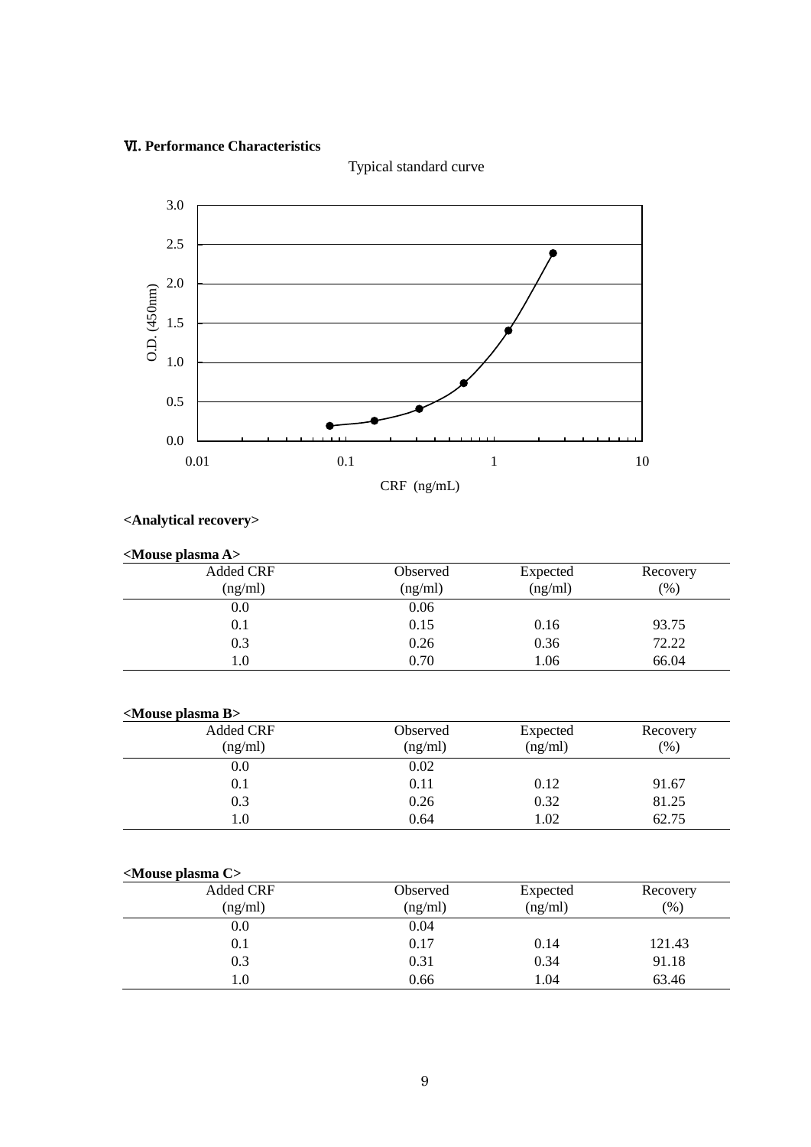# Ⅵ**. Performance Characteristics**



Typical standard curve

# **<Analytical recovery>**

| $\leq$ Mouse plasma A $>$   |                            |                     |                  |  |
|-----------------------------|----------------------------|---------------------|------------------|--|
| <b>Added CRF</b><br>(ng/ml) | <b>Observed</b><br>(ng/ml) | Expected<br>(ng/ml) | Recovery<br>(% ) |  |
| 0.0                         | 0.06                       |                     |                  |  |
| 0.1                         | 0.15                       | 0.16                | 93.75            |  |
| 0.3                         | 0.26                       | 0.36                | 72.22            |  |
| 1.0                         | 0.70                       | 1.06                | 66.04            |  |

|--|

| <b>Added CRF</b> | Observed | Expected | Recovery |
|------------------|----------|----------|----------|
| (ng/ml)          | (ng/ml)  | (ng/ml)  | (%)      |
| $_{\rm 0.0}$     | 0.02     |          |          |
| 0.1              | 0.11     | 0.12     | 91.67    |
| 0.3              | 0.26     | 0.32     | 81.25    |
| 1.0              | 0.64     | 1.02     | 62.75    |

| <mouse c="" plasma=""></mouse> |                     |                     |                    |
|--------------------------------|---------------------|---------------------|--------------------|
| <b>Added CRF</b><br>(ng/ml)    | Observed<br>(ng/ml) | Expected<br>(ng/ml) | Recovery<br>$(\%)$ |
| 0.0                            | 0.04                |                     |                    |
| 0.1                            | 0.17                | 0.14                | 121.43             |
| 0.3                            | 0.31                | 0.34                | 91.18              |
| 1.0                            | 0.66                | 1.04                | 63.46              |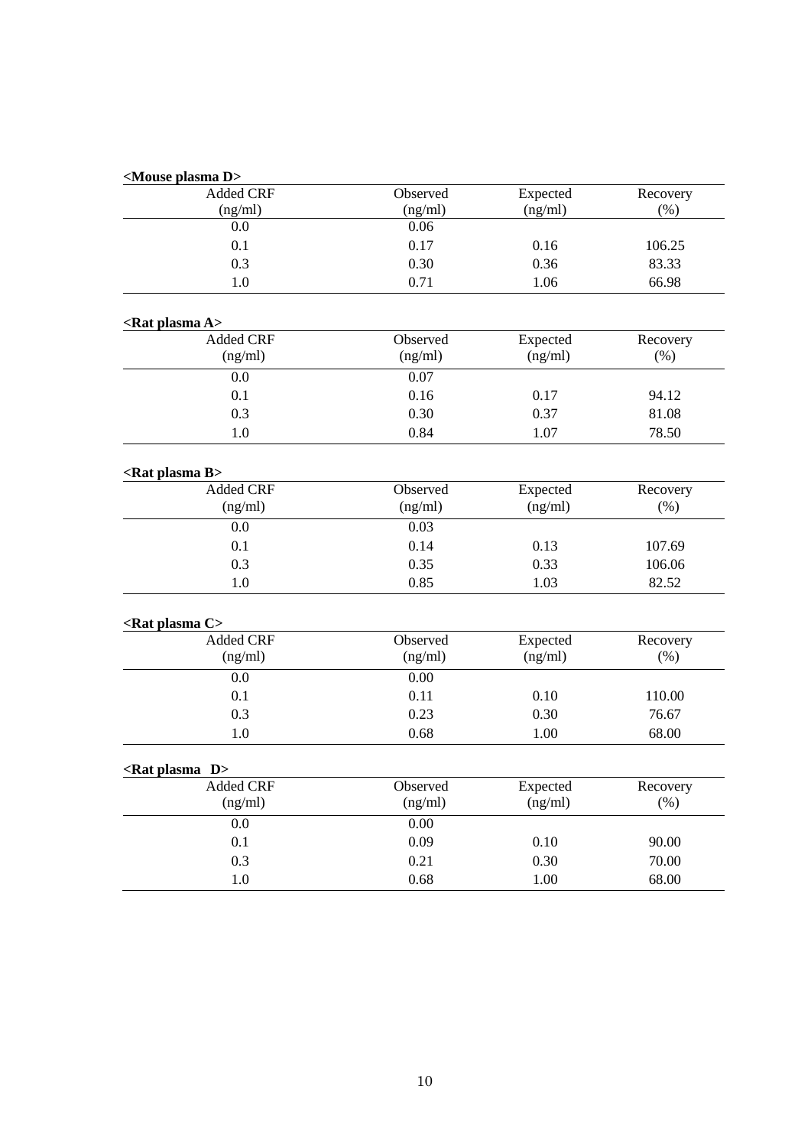| <mouse d="" plasma=""></mouse>                 |          |          |          |
|------------------------------------------------|----------|----------|----------|
| <b>Added CRF</b>                               | Observed | Expected | Recovery |
| (ng/ml)                                        | (ng/ml)  | (ng/ml)  | (% )     |
| 0.0                                            | 0.06     |          |          |
| 0.1                                            | 0.17     | 0.16     | 106.25   |
| 0.3                                            | 0.30     | 0.36     | 83.33    |
| 1.0                                            | 0.71     | 1.06     | 66.98    |
| <rat a="" plasma=""></rat>                     |          |          |          |
| <b>Added CRF</b>                               | Observed | Expected | Recovery |
| (ng/ml)                                        | (ng/ml)  | (ng/ml)  | (%)      |
| 0.0                                            | 0.07     |          |          |
| 0.1                                            | 0.16     | 0.17     | 94.12    |
| 0.3                                            | 0.30     | 0.37     | 81.08    |
| 1.0                                            | 0.84     | 1.07     | 78.50    |
| <rat b="" plasma=""></rat>                     |          |          |          |
| <b>Added CRF</b>                               | Observed | Expected | Recovery |
| (ng/ml)                                        | (ng/ml)  | (ng/ml)  | (% )     |
| 0.0                                            | 0.03     |          |          |
| 0.1                                            | 0.14     | 0.13     | 107.69   |
| 0.3                                            | 0.35     | 0.33     | 106.06   |
| 1.0                                            | 0.85     | 1.03     | 82.52    |
| <rat c="" plasma=""></rat>                     |          |          |          |
| <b>Added CRF</b>                               | Observed | Expected | Recovery |
| (ng/ml)                                        | (ng/ml)  | (ng/ml)  | (% )     |
| 0.0                                            | 0.00     |          |          |
| 0.1                                            | 0.11     | 0.10     | 110.00   |
| 0.3                                            | 0.23     | 0.30     | 76.67    |
| 1.0                                            | 0.68     | 1.00     | 68.00    |
|                                                |          |          |          |
| $\langle$ Rat plasma D $>$<br><b>Added CRF</b> | Observed | Expected | Recovery |
| (ng/ml)                                        | (ng/ml)  | (ng/ml)  | (% )     |
| 0.0                                            | 0.00     |          |          |
| 0.1                                            | 0.09     | 0.10     | 90.00    |
| 0.3                                            | 0.21     | 0.30     | 70.00    |
|                                                |          |          |          |
| 1.0                                            | 0.68     | 1.00     | 68.00    |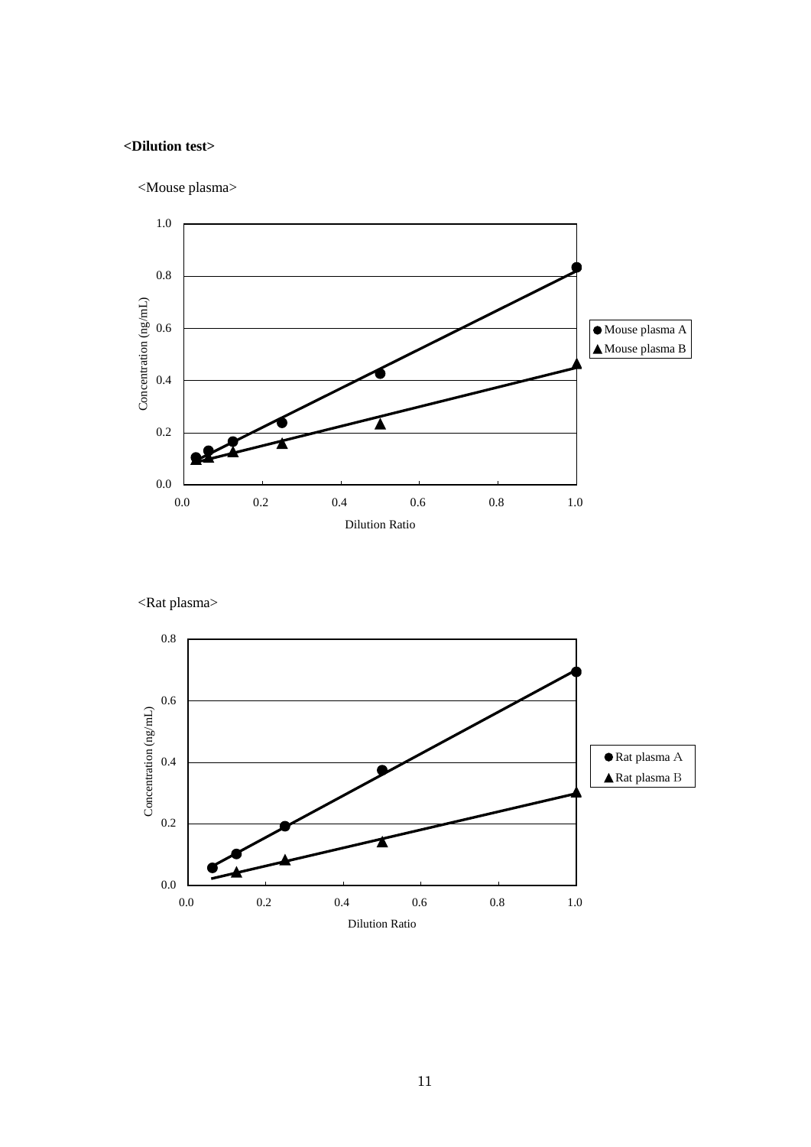# **<Dilution test>**





<Rat plasma>

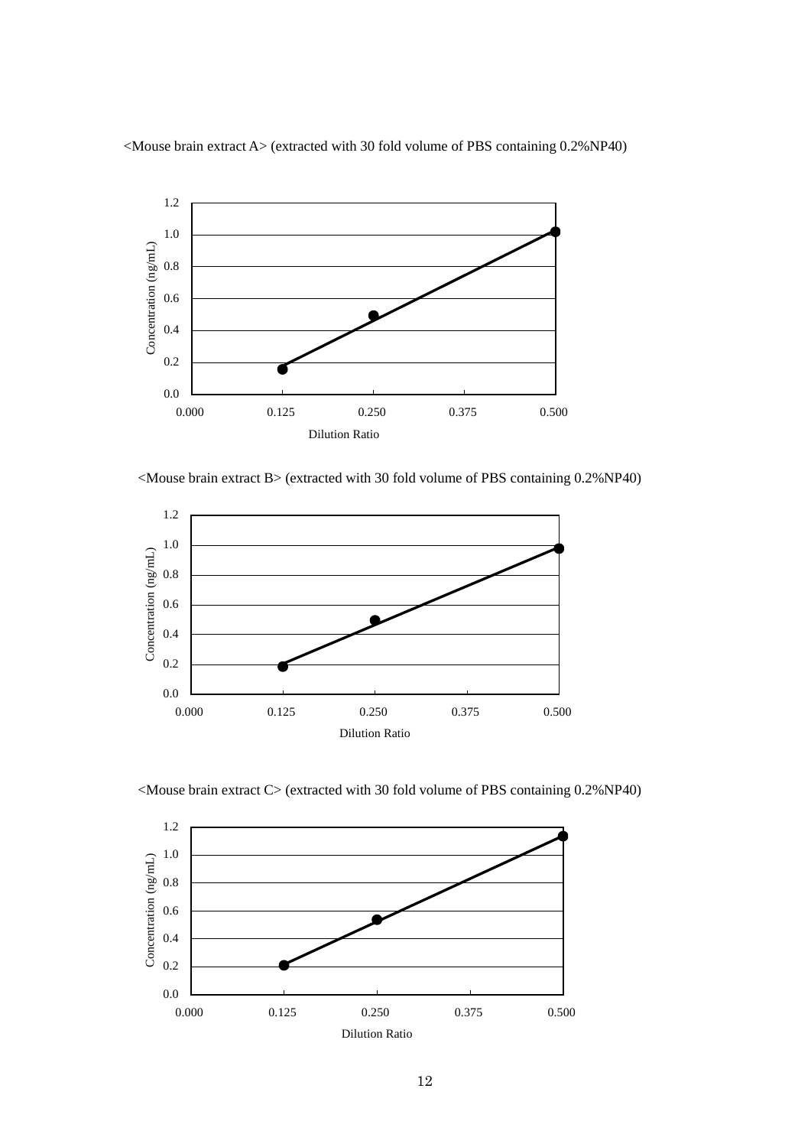

<Mouse brain extract A> (extracted with 30 fold volume of PBS containing 0.2%NP40)

<Mouse brain extract B> (extracted with 30 fold volume of PBS containing 0.2%NP40)



<Mouse brain extract C> (extracted with 30 fold volume of PBS containing 0.2%NP40)

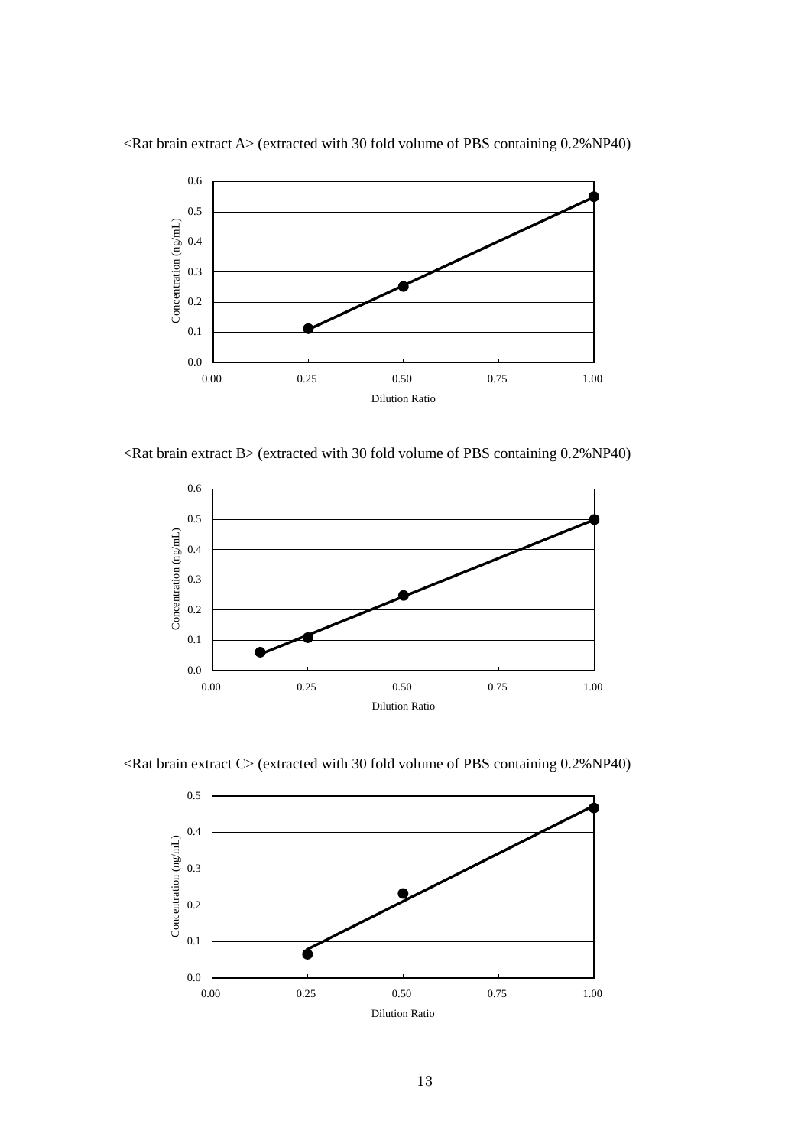

 $\leq$ Rat brain extract A $>$  (extracted with 30 fold volume of PBS containing 0.2%NP40)

 $\leq$ Rat brain extract B $>$  (extracted with 30 fold volume of PBS containing 0.2%NP40)



<Rat brain extract C> (extracted with 30 fold volume of PBS containing 0.2%NP40)

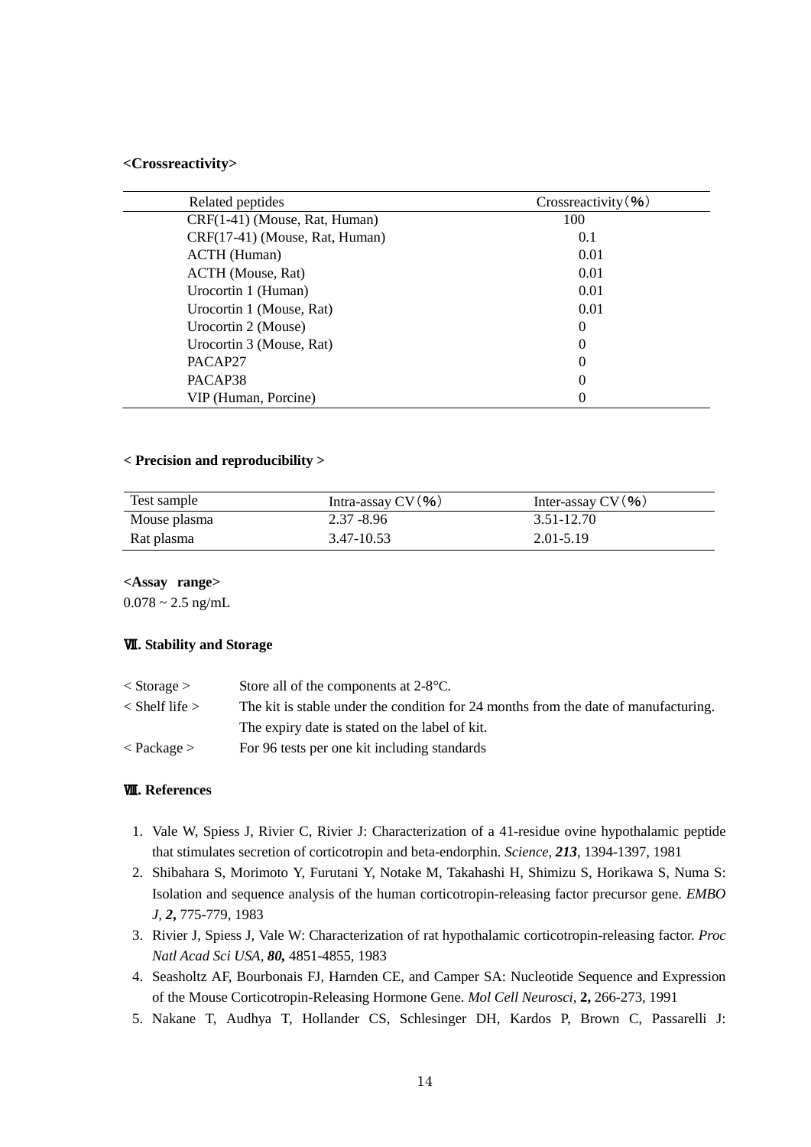#### **<Crossreactivity>**

| Related peptides               | Crossreactivity (%) |
|--------------------------------|---------------------|
| CRF(1-41) (Mouse, Rat, Human)  | 100                 |
| CRF(17-41) (Mouse, Rat, Human) | 0.1                 |
| <b>ACTH</b> (Human)            | 0.01                |
| ACTH (Mouse, Rat)              | 0.01                |
| Urocortin 1 (Human)            | 0.01                |
| Urocortin 1 (Mouse, Rat)       | 0.01                |
| Urocortin 2 (Mouse)            | $\Omega$            |
| Urocortin 3 (Mouse, Rat)       | 0                   |
| PACAP27                        | $\theta$            |
| PACAP38                        | $\theta$            |
| VIP (Human, Porcine)           | $\theta$            |

## **< Precision and reproducibility >**

| Test sample  | Intra-assay $CV($ %) | Inter-assay $CV($ %) |
|--------------|----------------------|----------------------|
| Mouse plasma | $2.37 - 8.96$        | 3.51-12.70           |
| Rat plasma   | 3.47-10.53           | 2.01-5.19            |

**<Assay range>**

 $0.078 \sim 2.5$  ng/mL

### Ⅶ**. Stability and Storage**

| $<$ Storage $>$    | Store all of the components at $2-8$ °C.                                            |
|--------------------|-------------------------------------------------------------------------------------|
| $<$ Shelf life $>$ | The kit is stable under the condition for 24 months from the date of manufacturing. |
|                    | The expiry date is stated on the label of kit.                                      |
| $<$ Package $>$    | For 96 tests per one kit including standards                                        |

## Ⅷ**. References**

- 1. Vale W, Spiess J, Rivier C, Rivier J: Characterization of a 41-residue ovine hypothalamic peptide that stimulates secretion of corticotropin and beta-endorphin. *Science, 213*, 1394-1397, 1981
- 2. Shibahara S, Morimoto Y, Furutani Y, Notake M, Takahashi H, Shimizu S, Horikawa S, Numa S: Isolation and sequence analysis of the human corticotropin-releasing factor precursor gene. *EMBO J, 2***,** 775-779, 1983
- 3. Rivier J, Spiess J, Vale W: Characterization of rat hypothalamic corticotropin-releasing factor. *Proc Natl Acad Sci USA, 80,* 4851-4855, 1983
- 4. Seasholtz AF, Bourbonais FJ, Harnden CE, and Camper SA: Nucleotide Sequence and Expression of the Mouse Corticotropin-Releasing Hormone Gene. *Mol Cell Neurosci*, **2,** 266-273, 1991
- 5. Nakane T, Audhya T, Hollander CS, Schlesinger DH, Kardos P, Brown C, Passarelli J: